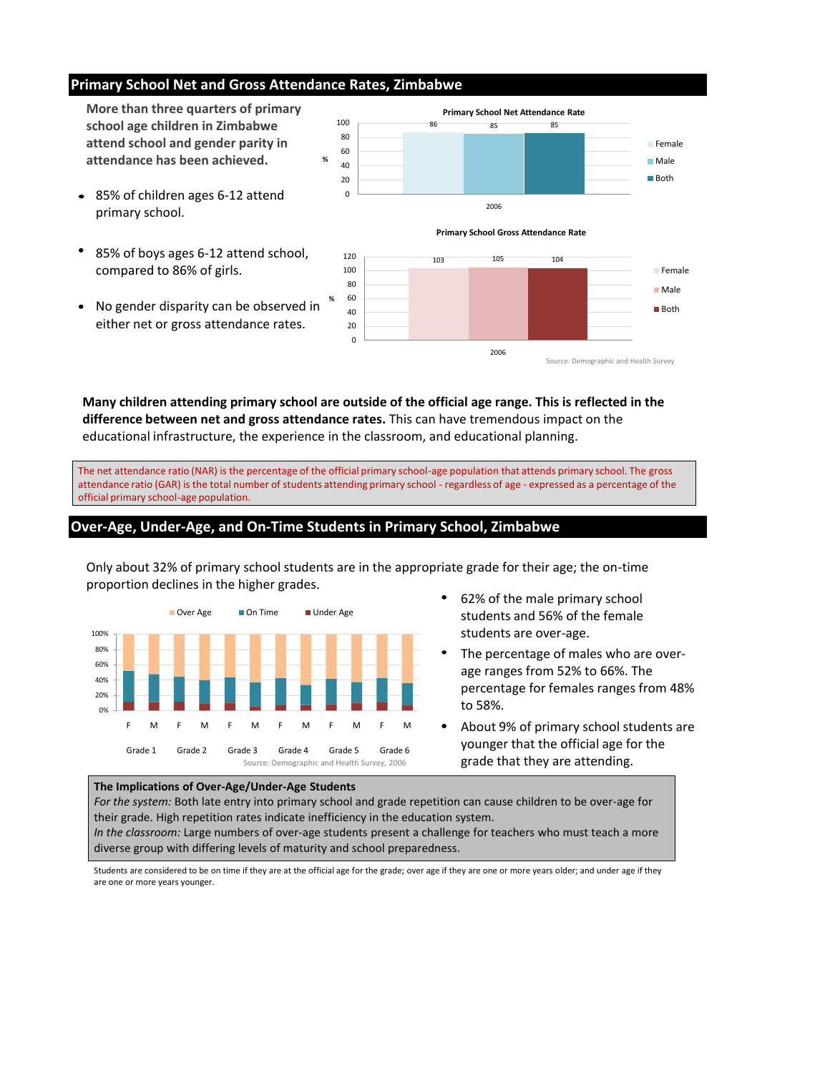### **Primary School Net and Gross Attendance Rates, Zimbabwe**

### **Over-Age, Under-Age, and On-Time Students in Primary School, Zimbabwe**







**More than three quarters of primary school age children in Zimbabwe attend school and gender parity in attendance has been achieved.**

**Many children attending primary school are outside of the official age range. This is reflected in the difference between net and gross attendance rates.** This can have tremendous impact on the educational infrastructure, the experience in the classroom, and educational planning.

The net attendance ratio (NAR) is the percentage of the official primary school-age population that attends primary school. The gross attendance ratio (GAR) is the total number of students attending primary school - regardless of age - expressed as a percentage of the official primary school-age population.



- 85% of children ages 6-12 attend primary school.
- 85% of boys ages 6-12 attend school, compared to 86% of girls.
- No gender disparity can be observed in  $\bullet$ either net or gross attendance rates.

Only about 32% of primary school students are in the appropriate grade for their age; the on-time proportion declines in the higher grades.

- 62% of the male primary school  $\bullet$ students and 56% of the female students are over-age.
- The percentage of males who are overage ranges from 52% to 66%. The percentage for females ranges from 48% to 58%.

### **The Implications of Over-Age/Under-Age Students**

*For the system:* Both late entry into primary school and grade repetition can cause children to be over-age for their grade. High repetition rates indicate inefficiency in the education system.

*In the classroom:* Large numbers of over-age students present a challenge for teachers who must teach a more diverse group with differing levels of maturity and school preparedness.

Students are considered to be on time if they are at the official age for the grade; over age if they are one or more years older; and under age if they are one or more years younger.

About 9% of primary school students are younger that the official age for the grade that they are attending.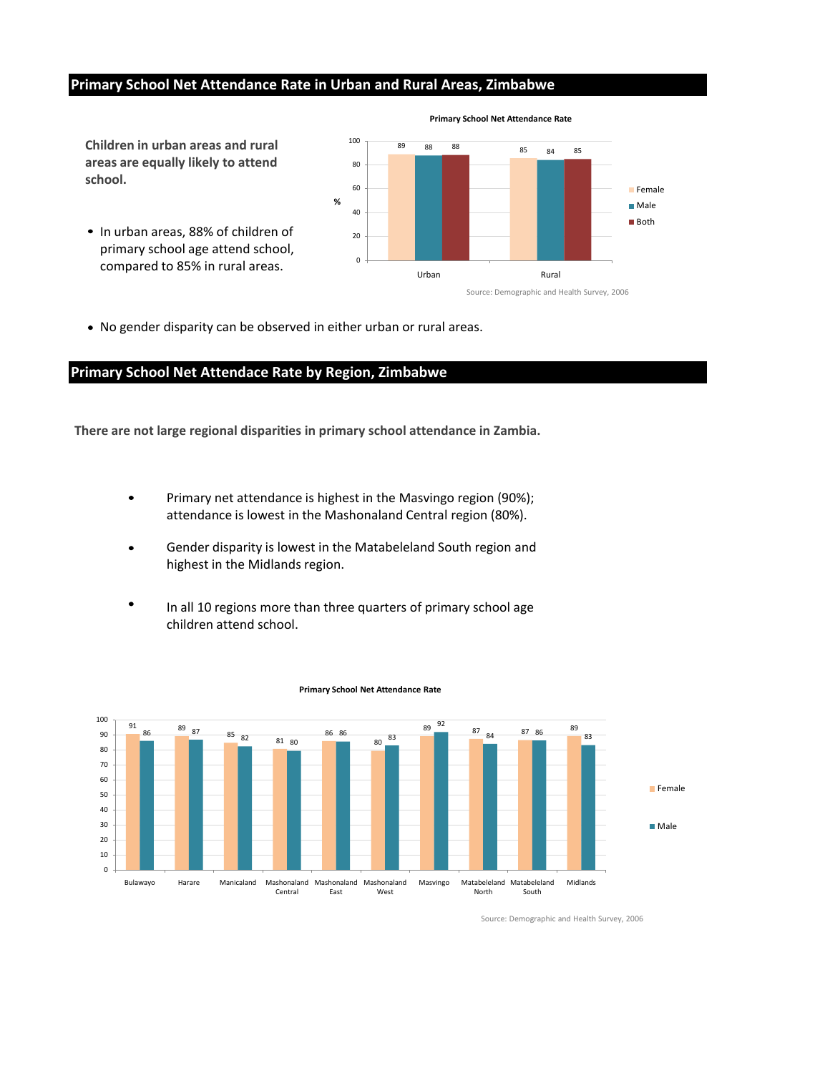### **Primary School Net Attendance Rate in Urban and Rural Areas, Zimbabwe**

### **Primary School Net Attendace Rate by Region, Zimbabwe**

**Children in urban areas and rural areas are equally likely to attend school.**

- In urban areas, 88% of children of primary school age attend school, compared to 85% in rural areas.
- No gender disparity can be observed in either urban or rural areas.

**Primary School Net Attendance Rate**

**There are not large regional disparities in primary school attendance in Zambia.**

89 88 88<br>**Andrew Strategies 81 84** 88<br>**85** 84 85 0 20 40 60 80 100 Urban Rural **% Female ■** Male ■ Both Source: Demographic and Health Survey, 2006



Source: Demographic and Health Survey, 2006

- Primary net attendance is highest in the Masvingo region (90%);  $\bullet$ attendance is lowest in the Mashonaland Central region (80%).
- Gender disparity is lowest in the Matabeleland South region and highest in the Midlands region.
- In all 10 regions more than three quarters of primary school age children attend school.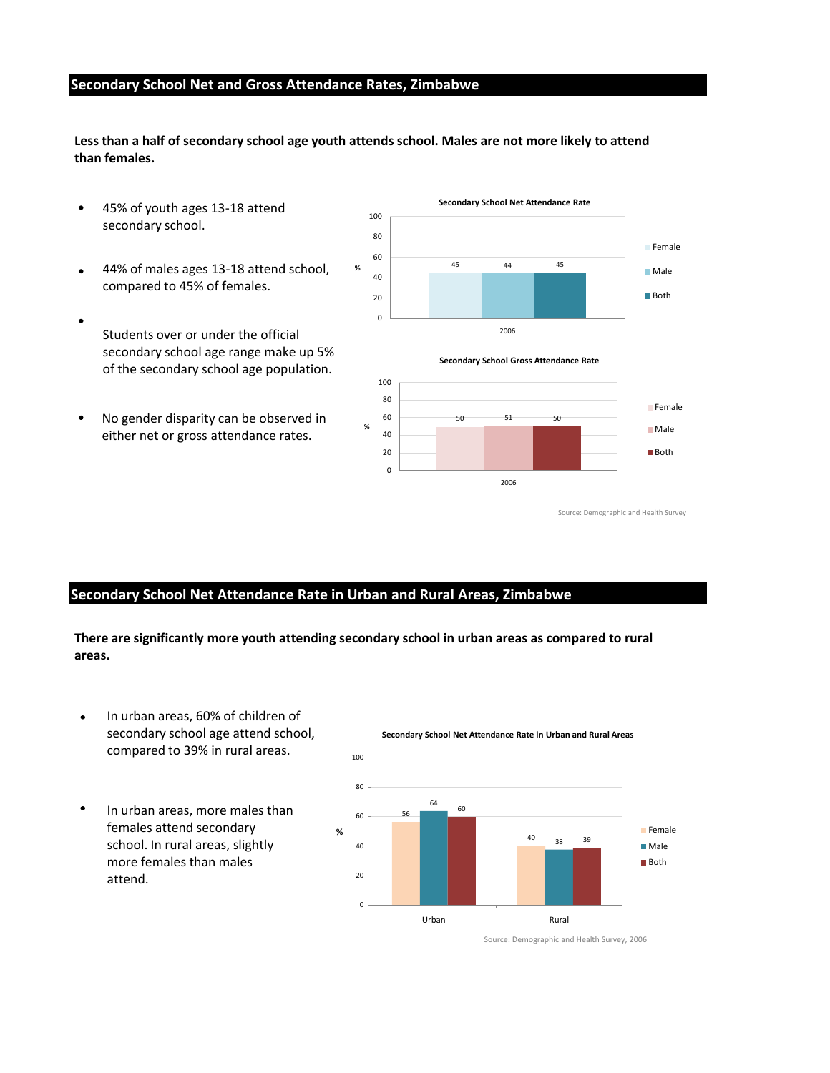## **Secondary School Net and Gross Attendance Rates, Zimbabwe**

## **Secondary School Net Attendance Rate in Urban and Rural Areas, Zimbabwe**

**Less than a half of secondary school age youth attends school. Males are not more likely to attend than females.**



Source: Demographic and Health Survey





### **Secondary School Net Attendance Rate in Urban and Rural Areas**



Source: Demographic and Health Survey, 2006

**There are significantly more youth attending secondary school in urban areas as compared to rural areas.**

- 45% of youth ages 13-18 attend  $\bullet$ secondary school.
- 44% of males ages 13-18 attend school,  $\bullet$ compared to 45% of females.
- $\bullet$ Students over or under the official secondary school age range make up 5% of the secondary school age population.
- No gender disparity can be observed in either net or gross attendance rates.

- In urban areas, 60% of children of  $\bullet$ secondary school age attend school, compared to 39% in rural areas.
- In urban areas, more males than  $\bullet$ females attend secondary school. In rural areas, slightly more females than males attend.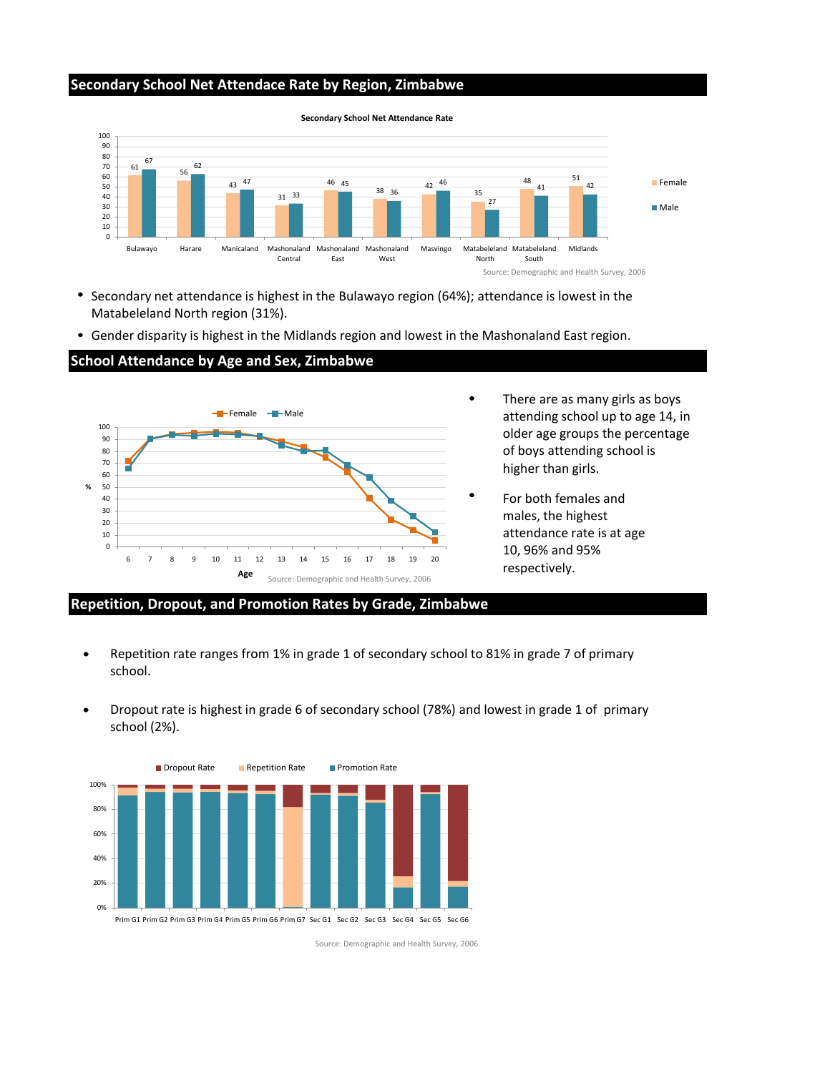### **Secondary School Net Attendace Rate by Region, Zimbabwe**

### **School Attendance by Age and Sex, Zimbabwe**

### **Repetition, Dropout, and Promotion Rates by Grade, Zimbabwe**





- Secondary net attendance is highest in the Bulawayo region (64%); attendance is lowest in the Matabeleland North region (31%).
- Gender disparity is highest in the Midlands region and lowest in the Mashonaland East region.

- Repetition rate ranges from 1% in grade 1 of secondary school to 81% in grade 7 of primary  $\bullet$ school.
	-
- Dropout rate is highest in grade 6 of secondary school (78%) and lowest in grade 1 of primary  $\bullet$ school (2%).

Source: Demographic and Health Survey, 2006

- There are as many girls as boys attending school up to age 14, in older age groups the percentage of boys attending school is higher than girls.
- $\bullet$ For both females and males, the highest attendance rate is at age 10, 96% and 95% respectively.



**Secondary School Net Attendance Rate**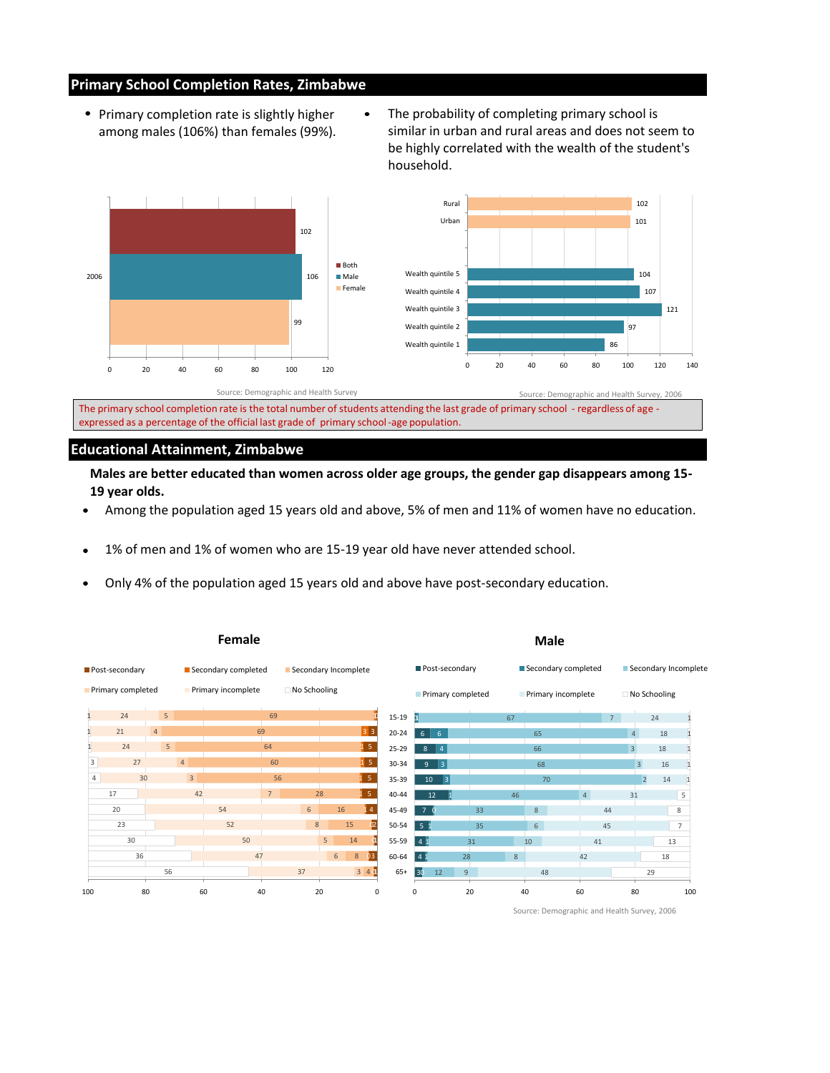### **Primary School Completion Rates, Zimbabwe**

### **Educational Attainment, Zimbabwe**

- Primary completion rate is slightly higher among males (106%) than females (99%).
- The probability of completing primary school is similar in urban and rural areas and does not seem to be highly correlated with the wealth of the student's household.

| 100            |        | 80              | 60             |    | 40              | 20             |                                        | 0                   | 0               | 20            |                | 40             | 60 | 80             |           |    | 100            |
|----------------|--------|-----------------|----------------|----|-----------------|----------------|----------------------------------------|---------------------|-----------------|---------------|----------------|----------------|----|----------------|-----------|----|----------------|
|                |        | 56              |                |    | 37              |                | 340                                    | $65+$               | 30 <sup>°</sup> | 12<br>9       |                | 48             |    |                | 29        |    |                |
|                | 36     |                 |                | 47 |                 |                | $\overline{0}3$<br>6 <sup>1</sup><br>8 | 60-64               | $41$            | 28            | $8\phantom{.}$ |                | 42 |                |           | 18 |                |
|                | $30\,$ |                 |                | 50 |                 | 5 <sub>1</sub> | 14                                     | 55-59               |                 | 31            |                | 10             | 41 |                |           | 13 |                |
|                | 23     |                 |                | 52 |                 | $8\phantom{1}$ | 15<br>Q <sub>2</sub>                   | 50-54               | 5 <sub>1</sub>  |               | 35             | 6 <sup>1</sup> | 45 |                |           |    | $\overline{7}$ |
|                | 20     |                 |                | 54 | $6\overline{6}$ |                | 16<br>14                               | 45-49               | 7 0             |               | 33             | 8 <sup>°</sup> | 44 |                |           | 8  |                |
|                | 17     |                 | 42             |    | 7 <sup>7</sup>  | 28             | 15                                     | 40-44               | 12              |               | 46             |                | 4  | 31             |           |    | 5              |
| $\overline{4}$ | 30     |                 | $\overline{3}$ |    | 56              |                | 15                                     | $35 - 39$           | 10              | $\parallel$ 3 |                | 70             |    |                | $\vert$ 2 | 14 |                |
| 3              | $27$   |                 | $\overline{4}$ |    | 60              |                | 15                                     | $30 - 34$           | $9 \mid 3$      |               |                | 68             |    |                | 3         | 16 |                |
|                | 24     | 5 <sub>1</sub>  |                |    | 64              |                | 15                                     | $25-29$             | $8 \mid 4$      |               |                | 66             |    | 3 <sup>1</sup> |           | 18 |                |
|                | 21     | $\vert 4 \vert$ |                |    | 69              |                | 33                                     | $20 - 24$           | $6 \mid 6$      |               |                | 65             |    | 4              |           | 18 |                |
|                | 24     | 5 <sup>1</sup>  |                |    | 69              |                |                                        | $15-19$ $\boxed{1}$ |                 |               | 67             |                |    | $\overline{7}$ | 24        |    |                |
|                |        |                 |                |    |                 |                |                                        |                     |                 |               |                |                |    |                |           |    |                |

|                   | Female              |                      | <b>Male</b>       |                     |                      |  |  |  |  |
|-------------------|---------------------|----------------------|-------------------|---------------------|----------------------|--|--|--|--|
| Post-secondary    | Secondary completed | Secondary Incomplete | Post-secondary    | Secondary completed | Secondary Incomplete |  |  |  |  |
| Primary completed | Primary incomplete  | No Schooling         | Primary completed | Primary incomplete  | No Schooling         |  |  |  |  |

- Among the population aged 15 years old and above, 5% of men and 11% of women have no education.  $\bullet$
- 1% of men and 1% of women who are 15-19 year old have never attended school. $\bullet$
- Only 4% of the population aged 15 years old and above have post-secondary education.  $\bullet$



 $\bullet$ 

Source: Demographic and Health Survey, 2006

**Males are better educated than women across older age groups, the gender gap disappears among 15- 19 year olds.**

The primary school completion rate is the total number of students attending the last grade of primary school - regardless of age expressed as a percentage of the official last grade of primary school-age population.